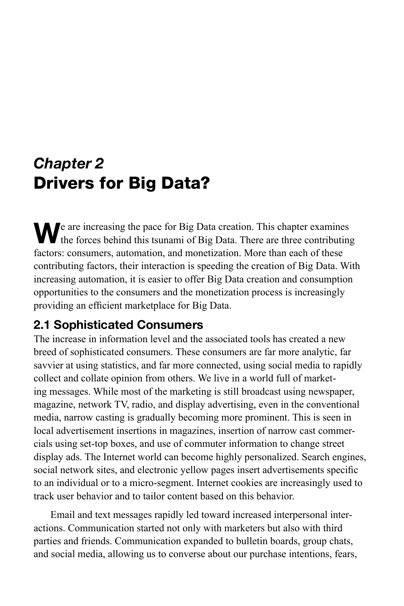# *Chapter 2* Drivers for Big Data?

We are increasing the pace for Big Data creation. This chapter examines the forces behind this tsunami of Big Data. There are three contributing factors: consumers, automation, and monetization. More than each of these contributing factors, their interaction is speeding the creation of Big Data. With increasing automation, it is easier to offer Big Data creation and consumption opportunities to the consumers and the monetization process is increasingly providing an efficient marketplace for Big Data.

### **2.1 Sophisticated Consumers**

The increase in information level and the associated tools has created a new breed of sophisticated consumers. These consumers are far more analytic, far savvier at using statistics, and far more connected, using social media to rapidly collect and collate opinion from others. We live in a world full of marketing messages. While most of the marketing is still broadcast using newspaper, magazine, network TV, radio, and display advertising, even in the conventional media, narrow casting is gradually becoming more prominent. This is seen in local advertisement insertions in magazines, insertion of narrow cast commercials using set-top boxes, and use of commuter information to change street display ads. The Internet world can become highly personalized. Search engines, social network sites, and electronic yellow pages insert advertisements specific to an individual or to a micro-segment. Internet cookies are increasingly used to track user behavior and to tailor content based on this behavior.

Email and text messages rapidly led toward increased interpersonal interactions. Communication started not only with marketers but also with third parties and friends. Communication expanded to bulletin boards, group chats, and social media, allowing us to converse about our purchase intentions, fears,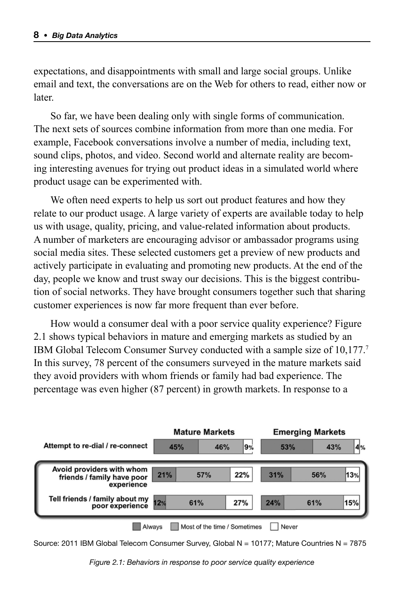expectations, and disappointments with small and large social groups. Unlike email and text, the conversations are on the Web for others to read, either now or later.

So far, we have been dealing only with single forms of communication. The next sets of sources combine information from more than one media. For example, Facebook conversations involve a number of media, including text, sound clips, photos, and video. Second world and alternate reality are becoming interesting avenues for trying out product ideas in a simulated world where product usage can be experimented with.

We often need experts to help us sort out product features and how they relate to our product usage. A large variety of experts are available today to help us with usage, quality, pricing, and value-related information about products. A number of marketers are encouraging advisor or ambassador programs using social media sites. These selected customers get a preview of new products and actively participate in evaluating and promoting new products. At the end of the day, people we know and trust sway our decisions. This is the biggest contribution of social networks. They have brought consumers together such that sharing customer experiences is now far more frequent than ever before.

How would a consumer deal with a poor service quality experience? Figure 2.1 shows typical behaviors in mature and emerging markets as studied by an IBM Global Telecom Consumer Survey conducted with a sample size of 10,177.<sup>7</sup> In this survey, 78 percent of the consumers surveyed in the mature markets said they avoid providers with whom friends or family had bad experience. The percentage was even higher (87 percent) in growth markets. In response to a



Source: 2011 IBM Global Telecom Consumer Survey, Global N = 10177; Mature Countries N = 7875

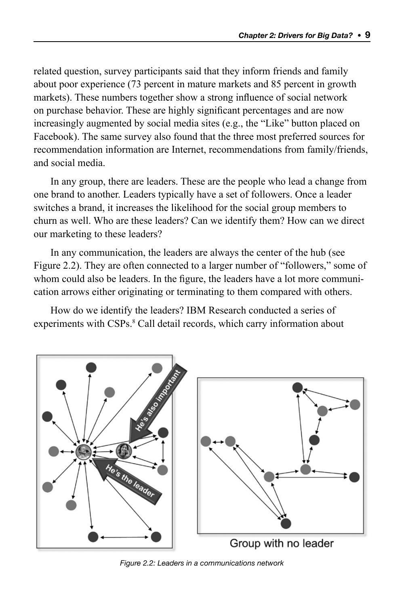related question, survey participants said that they inform friends and family about poor experience (73 percent in mature markets and 85 percent in growth markets). These numbers together show a strong influence of social network on purchase behavior. These are highly significant percentages and are now increasingly augmented by social media sites (e.g., the "Like" button placed on Facebook). The same survey also found that the three most preferred sources for recommendation information are Internet, recommendations from family/friends, and social media.

In any group, there are leaders. These are the people who lead a change from one brand to another. Leaders typically have a set of followers. Once a leader switches a brand, it increases the likelihood for the social group members to churn as well. Who are these leaders? Can we identify them? How can we direct our marketing to these leaders?

In any communication, the leaders are always the center of the hub (see Figure 2.2). They are often connected to a larger number of "followers," some of whom could also be leaders. In the figure, the leaders have a lot more communication arrows either originating or terminating to them compared with others.

How do we identify the leaders? IBM Research conducted a series of experiments with CSPs.<sup>8</sup> Call detail records, which carry information about



*Figure 2.2: Leaders in a communications network*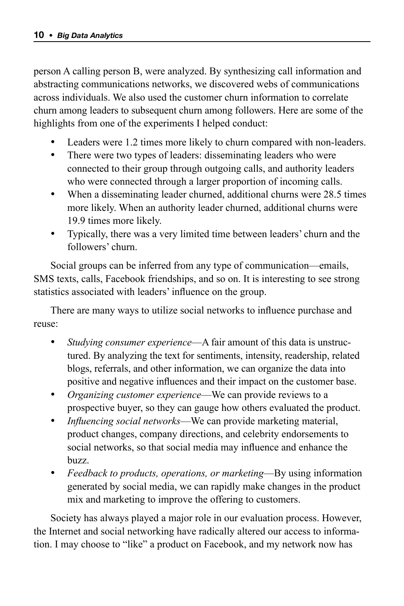person A calling person B, were analyzed. By synthesizing call information and abstracting communications networks, we discovered webs of communications across individuals. We also used the customer churn information to correlate churn among leaders to subsequent churn among followers. Here are some of the highlights from one of the experiments I helped conduct:

- Leaders were 1.2 times more likely to churn compared with non-leaders.
- There were two types of leaders: disseminating leaders who were connected to their group through outgoing calls, and authority leaders who were connected through a larger proportion of incoming calls.
- When a disseminating leader churned, additional churns were 28.5 times more likely. When an authority leader churned, additional churns were 19.9 times more likely.
- • Typically, there was a very limited time between leaders' churn and the followers' churn.

Social groups can be inferred from any type of communication—emails, SMS texts, calls, Facebook friendships, and so on. It is interesting to see strong statistics associated with leaders' influence on the group.

There are many ways to utilize social networks to influence purchase and reuse:

- *Studying consumer experience*—A fair amount of this data is unstructured. By analyzing the text for sentiments, intensity, readership, related blogs, referrals, and other information, we can organize the data into positive and negative influences and their impact on the customer base.
- • *Organizing customer experience*—We can provide reviews to a prospective buyer, so they can gauge how others evaluated the product.
- *Influencing social networks*—We can provide marketing material, product changes, company directions, and celebrity endorsements to social networks, so that social media may influence and enhance the buzz.
- • *Feedback to products, operations, or marketing*—By using information generated by social media, we can rapidly make changes in the product mix and marketing to improve the offering to customers.

Society has always played a major role in our evaluation process. However, the Internet and social networking have radically altered our access to information. I may choose to "like" a product on Facebook, and my network now has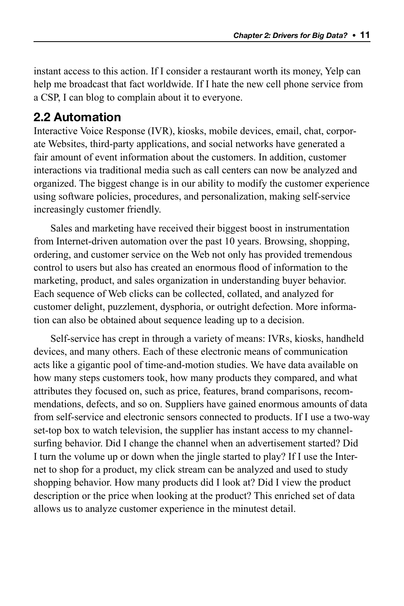instant access to this action. If I consider a restaurant worth its money, Yelp can help me broadcast that fact worldwide. If I hate the new cell phone service from a CSP, I can blog to complain about it to everyone.

#### **2.2 Automation**

Interactive Voice Response (IVR), kiosks, mobile devices, email, chat, corporate Websites, third-party applications, and social networks have generated a fair amount of event information about the customers. In addition, customer interactions via traditional media such as call centers can now be analyzed and organized. The biggest change is in our ability to modify the customer experience using software policies, procedures, and personalization, making self-service increasingly customer friendly.

Sales and marketing have received their biggest boost in instrumentation from Internet-driven automation over the past 10 years. Browsing, shopping, ordering, and customer service on the Web not only has provided tremendous control to users but also has created an enormous flood of information to the marketing, product, and sales organization in understanding buyer behavior. Each sequence of Web clicks can be collected, collated, and analyzed for customer delight, puzzlement, dysphoria, or outright defection. More information can also be obtained about sequence leading up to a decision.

Self-service has crept in through a variety of means: IVRs, kiosks, handheld devices, and many others. Each of these electronic means of communication acts like a gigantic pool of time-and-motion studies. We have data available on how many steps customers took, how many products they compared, and what attributes they focused on, such as price, features, brand comparisons, recommendations, defects, and so on. Suppliers have gained enormous amounts of data from self-service and electronic sensors connected to products. If I use a two-way set-top box to watch television, the supplier has instant access to my channelsurfing behavior. Did I change the channel when an advertisement started? Did I turn the volume up or down when the jingle started to play? If I use the Internet to shop for a product, my click stream can be analyzed and used to study shopping behavior. How many products did I look at? Did I view the product description or the price when looking at the product? This enriched set of data allows us to analyze customer experience in the minutest detail.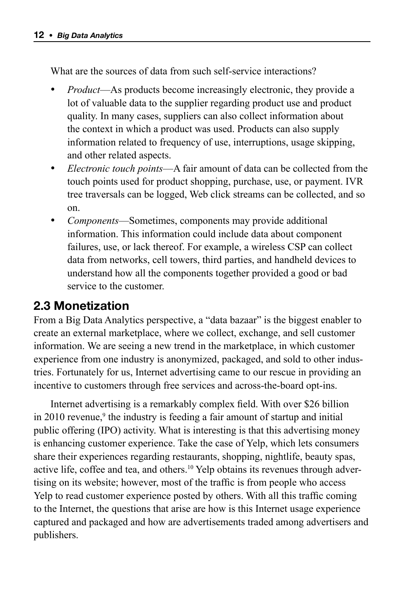What are the sources of data from such self-service interactions?

- *Product*—As products become increasingly electronic, they provide a lot of valuable data to the supplier regarding product use and product quality. In many cases, suppliers can also collect information about the context in which a product was used. Products can also supply information related to frequency of use, interruptions, usage skipping, and other related aspects.
- *Electronic touch points—A* fair amount of data can be collected from the touch points used for product shopping, purchase, use, or payment. IVR tree traversals can be logged, Web click streams can be collected, and so on.
- *Components*—Sometimes, components may provide additional information. This information could include data about component failures, use, or lack thereof. For example, a wireless CSP can collect data from networks, cell towers, third parties, and handheld devices to understand how all the components together provided a good or bad service to the customer.

## **2.3 Monetization**

From a Big Data Analytics perspective, a "data bazaar" is the biggest enabler to create an external marketplace, where we collect, exchange, and sell customer information. We are seeing a new trend in the marketplace, in which customer experience from one industry is anonymized, packaged, and sold to other industries. Fortunately for us, Internet advertising came to our rescue in providing an incentive to customers through free services and across-the-board opt-ins.

Internet advertising is a remarkably complex field. With over \$26 billion in 2010 revenue,<sup>9</sup> the industry is feeding a fair amount of startup and initial public offering (IPO) activity. What is interesting is that this advertising money is enhancing customer experience. Take the case of Yelp, which lets consumers share their experiences regarding restaurants, shopping, nightlife, beauty spas, active life, coffee and tea, and others.10 Yelp obtains its revenues through advertising on its website; however, most of the traffic is from people who access Yelp to read customer experience posted by others. With all this traffic coming to the Internet, the questions that arise are how is this Internet usage experience captured and packaged and how are advertisements traded among advertisers and publishers.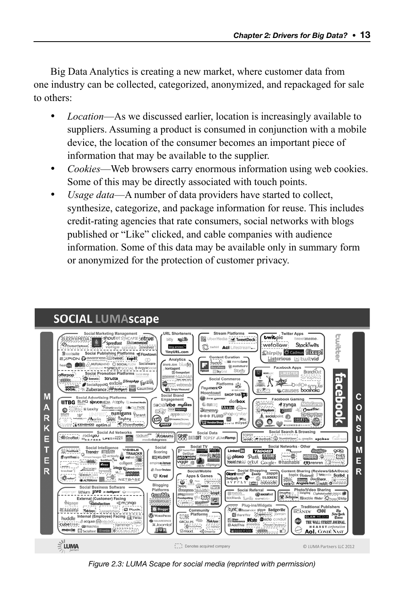Big Data Analytics is creating a new market, where customer data from one industry can be collected, categorized, anonymized, and repackaged for sale to others:

- *Location*—As we discussed earlier, location is increasingly available to suppliers. Assuming a product is consumed in conjunction with a mobile device, the location of the consumer becomes an important piece of information that may be available to the supplier.
- *Cookies*—Web browsers carry enormous information using web cookies. Some of this may be directly associated with touch points.
- *Usage data*—A number of data providers have started to collect, synthesize, categorize, and package information for reuse. This includes credit-rating agencies that rate consumers, social networks with blogs published or "Like" clicked, and cable companies with audience information. Some of this data may be available only in summary form or anonymized for the protection of customer privacy.

#### **SOCIAL LUMAscape**



*Figure 2.3: LUMA Scape for social media (reprinted with permission)*